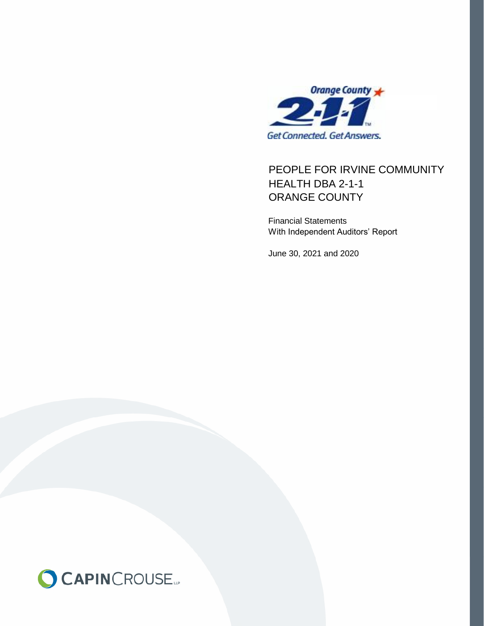

## PEOPLE FOR IRVINE COMMUNITY ORANGE COUNTY HEALTH DBA 2-1-1

Financial Statements With Independent Auditors' Report

June 30, 2021 and 2020

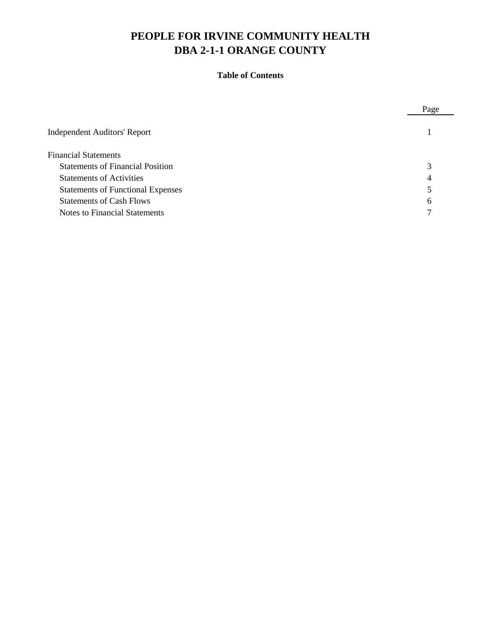## **Table of Contents**

|                                          | Page |
|------------------------------------------|------|
| <b>Independent Auditors' Report</b>      |      |
| <b>Financial Statements</b>              |      |
| <b>Statements of Financial Position</b>  |      |
| <b>Statements of Activities</b>          | 4    |
| <b>Statements of Functional Expenses</b> |      |
| <b>Statements of Cash Flows</b>          | 6    |
| <b>Notes to Financial Statements</b>     |      |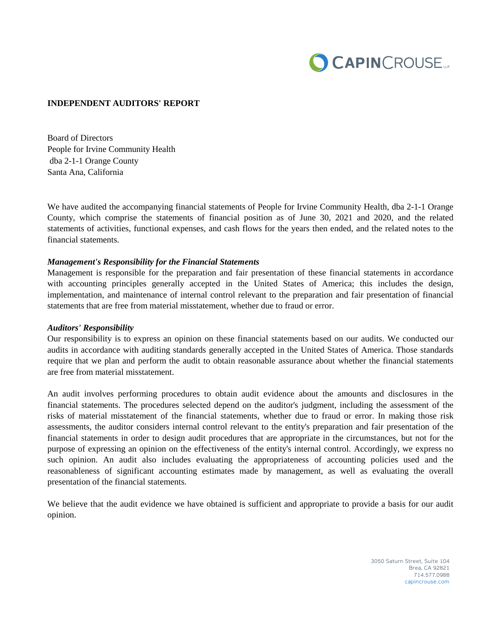

#### **INDEPENDENT AUDITORS' REPORT**

Board of Directors People for Irvine Community Health dba 2-1-1 Orange County Santa Ana, California

We have audited the accompanying financial statements of People for Irvine Community Health, dba 2-1-1 Orange County, which comprise the statements of financial position as of June 30, 2021 and 2020, and the related statements of activities, functional expenses, and cash flows for the years then ended, and the related notes to the financial statements.

#### *Management's Responsibility for the Financial Statements*

Management is responsible for the preparation and fair presentation of these financial statements in accordance with accounting principles generally accepted in the United States of America; this includes the design, implementation, and maintenance of internal control relevant to the preparation and fair presentation of financial statements that are free from material misstatement, whether due to fraud or error.

#### *Auditors' Responsibility*

Our responsibility is to express an opinion on these financial statements based on our audits. We conducted our audits in accordance with auditing standards generally accepted in the United States of America. Those standards require that we plan and perform the audit to obtain reasonable assurance about whether the financial statements are free from material misstatement.

An audit involves performing procedures to obtain audit evidence about the amounts and disclosures in the financial statements. The procedures selected depend on the auditor's judgment, including the assessment of the risks of material misstatement of the financial statements, whether due to fraud or error. In making those risk assessments, the auditor considers internal control relevant to the entity's preparation and fair presentation of the financial statements in order to design audit procedures that are appropriate in the circumstances, but not for the purpose of expressing an opinion on the effectiveness of the entity's internal control. Accordingly, we express no such opinion. An audit also includes evaluating the appropriateness of accounting policies used and the reasonableness of significant accounting estimates made by management, as well as evaluating the overall presentation of the financial statements.

We believe that the audit evidence we have obtained is sufficient and appropriate to provide a basis for our audit opinion.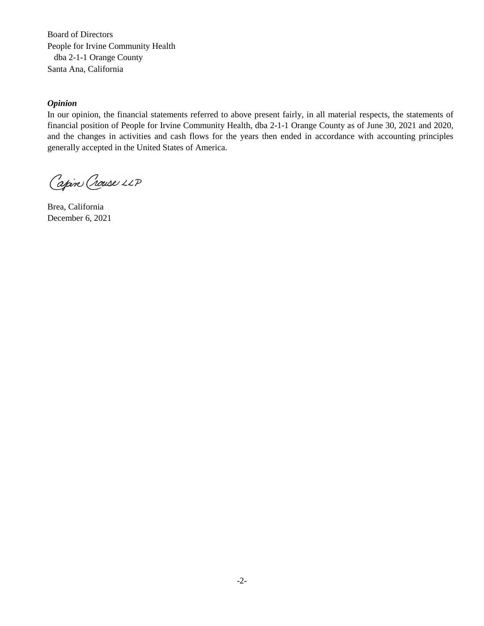Board of Directors People for Irvine Community Health dba 2-1-1 Orange County Santa Ana, California the amounts and disclosures in the financial statements, assessing the accounting principles  $\mathbb{R}^n$  $W = \frac{1}{2}$  statements are free of material misstatement. And audit includes consideration of internal misstatement. An audit internal misstatement. An audit internal misstatement of internal misstatement of internal miss control over financial reporting as a basis for designing and an appropriate in the circumstances, we can also the circumstances, we can appropriate in the circumstances, we can also that an appropriate in the circumstance

#### *Opinion*

In our opinion, the financial statements referred to above present fairly, in all material respects, the statements of financial position of People for Irvine Community Health, dba 2-1-1 Orange County as of June 30, 2021 and 2020, and the changes in activities and cash flows for the years then ended in accordance with accounting principles and the entirgles in wearings the east from for the years then ended in the strature with accounting principles generally accepted in the United States of America.  $S^{maximum}$ 

Capin Crouse LLP

Brea, California December 6,  $2021$ Bien, Cambina<br>December 6, 2021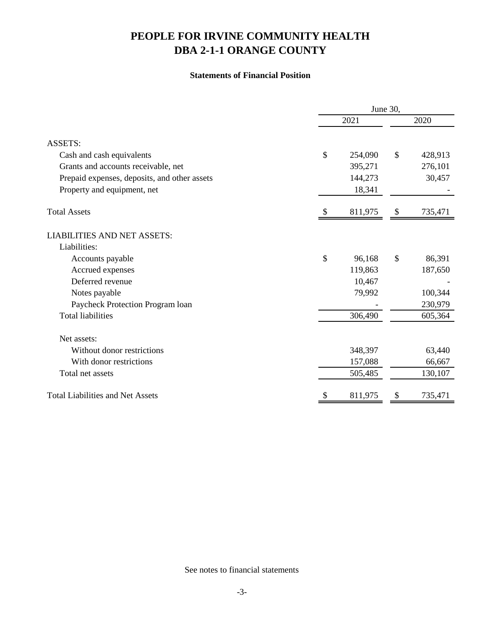## **Statements of Financial Position**

|                                              | June 30,      |         |    |         |  |  |
|----------------------------------------------|---------------|---------|----|---------|--|--|
|                                              | 2021          |         |    | 2020    |  |  |
| <b>ASSETS:</b>                               |               |         |    |         |  |  |
| Cash and cash equivalents                    | \$            | 254,090 | \$ | 428,913 |  |  |
| Grants and accounts receivable, net          |               | 395,271 |    | 276,101 |  |  |
| Prepaid expenses, deposits, and other assets |               | 144,273 |    | 30,457  |  |  |
| Property and equipment, net                  |               | 18,341  |    |         |  |  |
| <b>Total Assets</b>                          | <sup>\$</sup> | 811,975 | \$ | 735,471 |  |  |
| <b>LIABILITIES AND NET ASSETS:</b>           |               |         |    |         |  |  |
| Liabilities:                                 |               |         |    |         |  |  |
| Accounts payable                             | \$            | 96,168  | \$ | 86,391  |  |  |
| Accrued expenses                             |               | 119,863 |    | 187,650 |  |  |
| Deferred revenue                             |               | 10,467  |    |         |  |  |
| Notes payable                                |               | 79,992  |    | 100,344 |  |  |
| Paycheck Protection Program loan             |               |         |    | 230,979 |  |  |
| <b>Total liabilities</b>                     |               | 306,490 |    | 605,364 |  |  |
| Net assets:                                  |               |         |    |         |  |  |
| Without donor restrictions                   |               | 348,397 |    | 63,440  |  |  |
| With donor restrictions                      |               | 157,088 |    | 66,667  |  |  |
| Total net assets                             |               | 505,485 |    | 130,107 |  |  |
| <b>Total Liabilities and Net Assets</b>      | S             | 811,975 | \$ | 735,471 |  |  |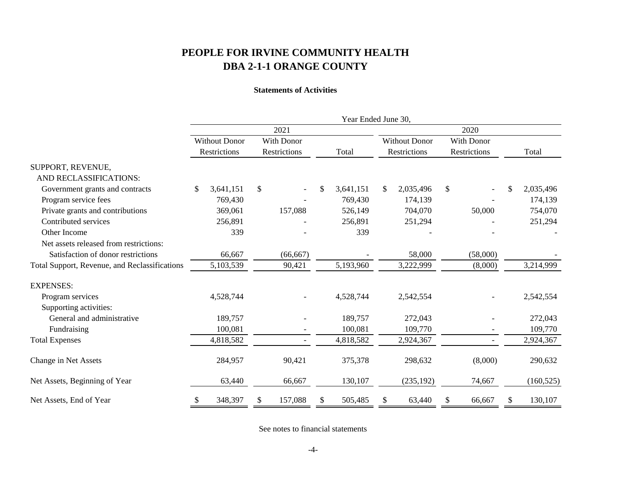### **Statements of Activities**

|                                               | Year Ended June 30,  |            |              |    |                      |    |              |    |              |               |            |  |
|-----------------------------------------------|----------------------|------------|--------------|----|----------------------|----|--------------|----|--------------|---------------|------------|--|
|                                               |                      | 2021       |              |    |                      |    |              |    |              |               |            |  |
|                                               | <b>Without Donor</b> | With Donor |              |    | <b>Without Donor</b> |    | With Donor   |    |              |               |            |  |
|                                               | Restrictions         |            | Restrictions |    | Total                |    | Restrictions |    | Restrictions |               | Total      |  |
| SUPPORT, REVENUE,                             |                      |            |              |    |                      |    |              |    |              |               |            |  |
| AND RECLASSIFICATIONS:                        |                      |            |              |    |                      |    |              |    |              |               |            |  |
| Government grants and contracts               | \$<br>3,641,151      | \$         |              | \$ | 3,641,151            | \$ | 2,035,496    | \$ |              | $\mathcal{S}$ | 2,035,496  |  |
| Program service fees                          | 769,430              |            |              |    | 769,430              |    | 174,139      |    |              |               | 174,139    |  |
| Private grants and contributions              | 369,061              |            | 157,088      |    | 526,149              |    | 704,070      |    | 50,000       |               | 754,070    |  |
| Contributed services                          | 256,891              |            |              |    | 256,891              |    | 251,294      |    |              |               | 251,294    |  |
| Other Income                                  | 339                  |            |              |    | 339                  |    |              |    |              |               |            |  |
| Net assets released from restrictions:        |                      |            |              |    |                      |    |              |    |              |               |            |  |
| Satisfaction of donor restrictions            | 66,667               |            | (66, 667)    |    |                      |    | 58,000       |    | (58,000)     |               |            |  |
| Total Support, Revenue, and Reclassifications | 5,103,539            |            | 90,421       |    | 5,193,960            |    | 3,222,999    |    | (8,000)      |               | 3,214,999  |  |
| <b>EXPENSES:</b>                              |                      |            |              |    |                      |    |              |    |              |               |            |  |
| Program services                              | 4,528,744            |            |              |    | 4,528,744            |    | 2,542,554    |    |              |               | 2,542,554  |  |
| Supporting activities:                        |                      |            |              |    |                      |    |              |    |              |               |            |  |
| General and administrative                    | 189,757              |            |              |    | 189,757              |    | 272,043      |    |              |               | 272,043    |  |
| Fundraising                                   | 100,081              |            |              |    | 100,081              |    | 109,770      |    |              |               | 109,770    |  |
| <b>Total Expenses</b>                         | 4,818,582            |            |              |    | 4,818,582            |    | 2,924,367    |    |              |               | 2,924,367  |  |
| Change in Net Assets                          | 284,957              |            | 90,421       |    | 375,378              |    | 298,632      |    | (8,000)      |               | 290,632    |  |
| Net Assets, Beginning of Year                 | 63,440               |            | 66,667       |    | 130,107              |    | (235, 192)   |    | 74,667       |               | (160, 525) |  |
| Net Assets, End of Year                       | 348,397<br>\$        | \$         | 157,088      | \$ | 505,485              | \$ | 63,440       | \$ | 66,667       | \$            | 130,107    |  |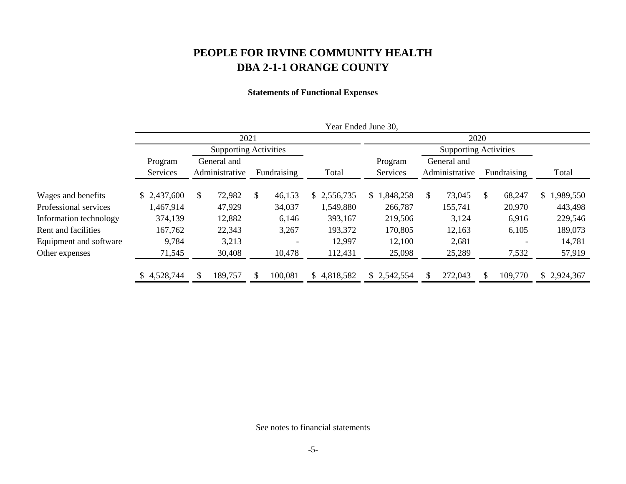## **Statements of Functional Expenses**

|                        |                     |                              |                               |    |             |    | Year Ended June 30, |               |                     |                              |                               |               |                          |             |
|------------------------|---------------------|------------------------------|-------------------------------|----|-------------|----|---------------------|---------------|---------------------|------------------------------|-------------------------------|---------------|--------------------------|-------------|
|                        |                     | 2021                         |                               |    |             |    |                     |               |                     |                              | 2020                          |               |                          |             |
|                        |                     | <b>Supporting Activities</b> |                               |    |             |    |                     |               |                     | <b>Supporting Activities</b> |                               |               |                          |             |
|                        | Program<br>Services |                              | General and<br>Administrative |    | Fundraising |    | Total               |               | Program<br>Services |                              | General and<br>Administrative |               | Fundraising              | Total       |
| Wages and benefits     | \$2,437,600         | \$                           | 72,982                        | \$ | 46,153      |    | \$2,556,735         | <sup>\$</sup> | ,848,258            | S.                           | 73,045                        | <sup>\$</sup> | 68,247                   | \$1,989,550 |
| Professional services  | 1,467,914           |                              | 47,929                        |    | 34,037      |    | 1,549,880           |               | 266,787             |                              | 155,741                       |               | 20,970                   | 443,498     |
| Information technology | 374,139             |                              | 12,882                        |    | 6,146       |    | 393,167             |               | 219,506             |                              | 3,124                         |               | 6,916                    | 229,546     |
| Rent and facilities    | 167,762             |                              | 22,343                        |    | 3,267       |    | 193,372             |               | 170,805             |                              | 12,163                        |               | 6,105                    | 189,073     |
| Equipment and software | 9,784               |                              | 3,213                         |    |             |    | 12,997              |               | 12,100              |                              | 2,681                         |               | $\overline{\phantom{0}}$ | 14,781      |
| Other expenses         | 71,545              |                              | 30,408                        |    | 10,478      |    | 112,431             |               | 25,098              |                              | 25,289                        |               | 7,532                    | 57,919      |
|                        | 4,528,744           |                              | 189,757                       |    | 100,081     | S. | 4,818,582           |               | \$2,542,554         |                              | 272,043                       |               | 109,770                  | \$2,924,367 |
|                        |                     |                              |                               |    |             |    |                     |               |                     |                              |                               |               |                          |             |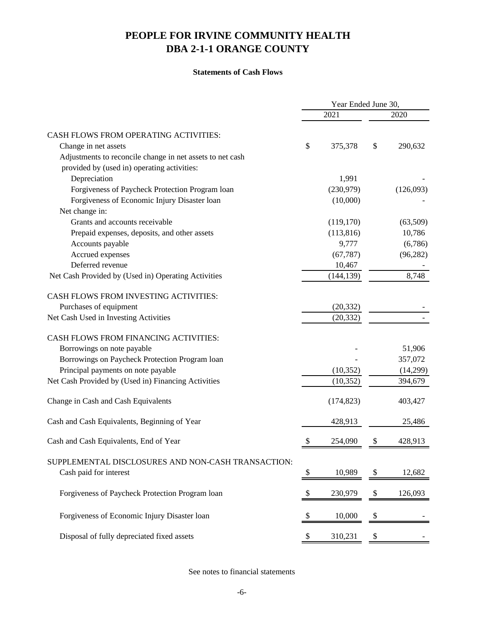#### **Statements of Cash Flows**

|                                                           | Year Ended June 30,       |            |                   |           |  |  |
|-----------------------------------------------------------|---------------------------|------------|-------------------|-----------|--|--|
|                                                           |                           | 2021       |                   | 2020      |  |  |
| CASH FLOWS FROM OPERATING ACTIVITIES:                     |                           |            |                   |           |  |  |
| Change in net assets                                      | \$                        | 375,378    | \$                | 290,632   |  |  |
| Adjustments to reconcile change in net assets to net cash |                           |            |                   |           |  |  |
| provided by (used in) operating activities:               |                           |            |                   |           |  |  |
| Depreciation                                              |                           | 1,991      |                   |           |  |  |
| Forgiveness of Paycheck Protection Program loan           |                           | (230,979)  |                   | (126,093) |  |  |
| Forgiveness of Economic Injury Disaster loan              |                           | (10,000)   |                   |           |  |  |
| Net change in:                                            |                           |            |                   |           |  |  |
| Grants and accounts receivable                            |                           | (119, 170) |                   | (63,509)  |  |  |
| Prepaid expenses, deposits, and other assets              |                           | (113, 816) |                   | 10,786    |  |  |
| Accounts payable                                          |                           | 9,777      |                   | (6,786)   |  |  |
| Accrued expenses                                          |                           | (67, 787)  |                   | (96, 282) |  |  |
| Deferred revenue                                          |                           | 10,467     |                   |           |  |  |
| Net Cash Provided by (Used in) Operating Activities       |                           | (144, 139) |                   | 8,748     |  |  |
| CASH FLOWS FROM INVESTING ACTIVITIES:                     |                           |            |                   |           |  |  |
| Purchases of equipment                                    |                           | (20, 332)  |                   |           |  |  |
| Net Cash Used in Investing Activities                     |                           | (20, 332)  |                   |           |  |  |
| CASH FLOWS FROM FINANCING ACTIVITIES:                     |                           |            |                   |           |  |  |
| Borrowings on note payable                                |                           |            |                   | 51,906    |  |  |
| Borrowings on Paycheck Protection Program loan            |                           |            |                   | 357,072   |  |  |
| Principal payments on note payable                        |                           | (10, 352)  |                   | (14,299)  |  |  |
| Net Cash Provided by (Used in) Financing Activities       |                           | (10, 352)  |                   | 394,679   |  |  |
| Change in Cash and Cash Equivalents                       |                           | (174, 823) |                   | 403,427   |  |  |
| Cash and Cash Equivalents, Beginning of Year              |                           | 428,913    |                   | 25,486    |  |  |
| Cash and Cash Equivalents, End of Year                    |                           | 254,090    | \$                | 428,913   |  |  |
| SUPPLEMENTAL DISCLOSURES AND NON-CASH TRANSACTION:        |                           |            |                   |           |  |  |
| Cash paid for interest                                    | \$                        | 10,989     | \$                | 12,682    |  |  |
| Forgiveness of Paycheck Protection Program loan           | $\boldsymbol{\mathsf{S}}$ | 230,979    | $\boldsymbol{\$}$ | 126,093   |  |  |
| Forgiveness of Economic Injury Disaster loan              | \$                        | 10,000     | $\boldsymbol{\$}$ |           |  |  |
| Disposal of fully depreciated fixed assets                | \$                        | 310,231    | $\$$              |           |  |  |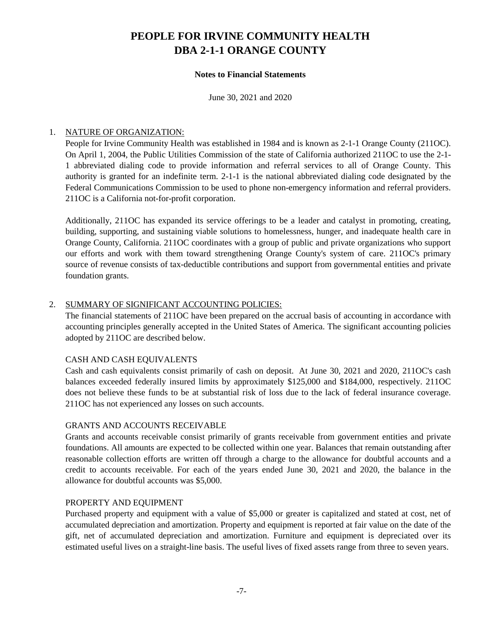#### **Notes to Financial Statements**

June 30, 2021 and 2020

### 1. NATURE OF ORGANIZATION:

People for Irvine Community Health was established in 1984 and is known as 2-1-1 Orange County (211OC). On April 1, 2004, the Public Utilities Commission of the state of California authorized 211OC to use the 2-1- 1 abbreviated dialing code to provide information and referral services to all of Orange County. This authority is granted for an indefinite term. 2-1-1 is the national abbreviated dialing code designated by the Federal Communications Commission to be used to phone non-emergency information and referral providers. 211OC is a California not-for-profit corporation.

Additionally, 211OC has expanded its service offerings to be a leader and catalyst in promoting, creating, building, supporting, and sustaining viable solutions to homelessness, hunger, and inadequate health care in Orange County, California. 211OC coordinates with a group of public and private organizations who support our efforts and work with them toward strengthening Orange County's system of care. 211OC's primary source of revenue consists of tax-deductible contributions and support from governmental entities and private foundation grants.

## 2. SUMMARY OF SIGNIFICANT ACCOUNTING POLICIES:

The financial statements of 211OC have been prepared on the accrual basis of accounting in accordance with accounting principles generally accepted in the United States of America. The significant accounting policies adopted by 211OC are described below.

### CASH AND CASH EQUIVALENTS

Cash and cash equivalents consist primarily of cash on deposit. At June 30, 2021 and 2020, 211OC's cash balances exceeded federally insured limits by approximately \$125,000 and \$184,000, respectively. 211OC does not believe these funds to be at substantial risk of loss due to the lack of federal insurance coverage. 211OC has not experienced any losses on such accounts.

### GRANTS AND ACCOUNTS RECEIVABLE

Grants and accounts receivable consist primarily of grants receivable from government entities and private foundations. All amounts are expected to be collected within one year. Balances that remain outstanding after reasonable collection efforts are written off through a charge to the allowance for doubtful accounts and a credit to accounts receivable. For each of the years ended June 30, 2021 and 2020, the balance in the allowance for doubtful accounts was \$5,000.

### PROPERTY AND EQUIPMENT

Purchased property and equipment with a value of \$5,000 or greater is capitalized and stated at cost, net of accumulated depreciation and amortization. Property and equipment is reported at fair value on the date of the gift, net of accumulated depreciation and amortization. Furniture and equipment is depreciated over its estimated useful lives on a straight-line basis. The useful lives of fixed assets range from three to seven years.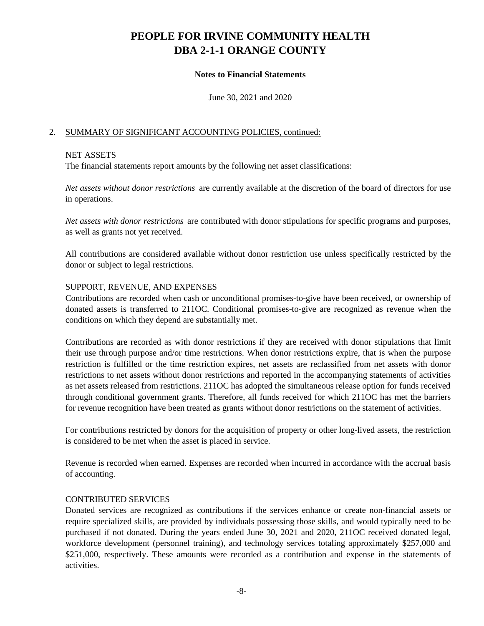#### **Notes to Financial Statements**

June 30, 2021 and 2020

### 2. SUMMARY OF SIGNIFICANT ACCOUNTING POLICIES, continued:

### NET ASSETS

The financial statements report amounts by the following net asset classifications:

*Net assets without donor restrictions* are currently available at the discretion of the board of directors for use in operations.

*Net assets with donor restrictions* are contributed with donor stipulations for specific programs and purposes, as well as grants not yet received.

All contributions are considered available without donor restriction use unless specifically restricted by the donor or subject to legal restrictions.

### SUPPORT, REVENUE, AND EXPENSES

Contributions are recorded when cash or unconditional promises-to-give have been received, or ownership of donated assets is transferred to 211OC. Conditional promises-to-give are recognized as revenue when the conditions on which they depend are substantially met.

Contributions are recorded as with donor restrictions if they are received with donor stipulations that limit their use through purpose and/or time restrictions. When donor restrictions expire, that is when the purpose restriction is fulfilled or the time restriction expires, net assets are reclassified from net assets with donor restrictions to net assets without donor restrictions and reported in the accompanying statements of activities as net assets released from restrictions. 211OC has adopted the simultaneous release option for funds received through conditional government grants. Therefore, all funds received for which 211OC has met the barriers for revenue recognition have been treated as grants without donor restrictions on the statement of activities.

For contributions restricted by donors for the acquisition of property or other long-lived assets, the restriction is considered to be met when the asset is placed in service.

Revenue is recorded when earned. Expenses are recorded when incurred in accordance with the accrual basis of accounting.

#### CONTRIBUTED SERVICES

Donated services are recognized as contributions if the services enhance or create non-financial assets or require specialized skills, are provided by individuals possessing those skills, and would typically need to be purchased if not donated. During the years ended June 30, 2021 and 2020, 211OC received donated legal, workforce development (personnel training), and technology services totaling approximately \$257,000 and \$251,000, respectively. These amounts were recorded as a contribution and expense in the statements of activities.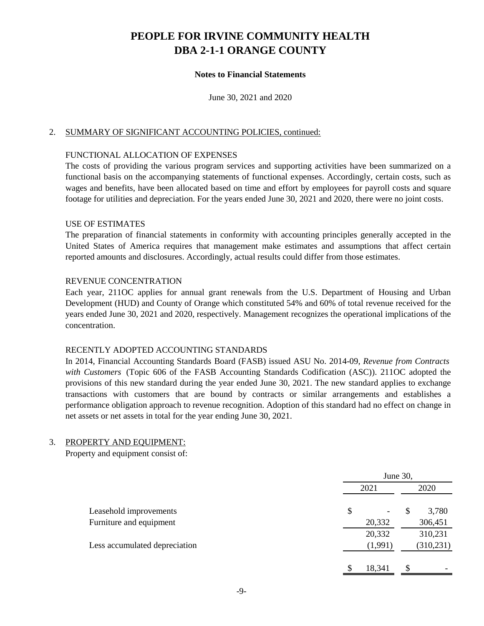#### **Notes to Financial Statements**

June 30, 2021 and 2020

#### 2. SUMMARY OF SIGNIFICANT ACCOUNTING POLICIES, continued:

### FUNCTIONAL ALLOCATION OF EXPENSES

The costs of providing the various program services and supporting activities have been summarized on a functional basis on the accompanying statements of functional expenses. Accordingly, certain costs, such as wages and benefits, have been allocated based on time and effort by employees for payroll costs and square footage for utilities and depreciation. For the years ended June 30, 2021 and 2020, there were no joint costs.

#### USE OF ESTIMATES

The preparation of financial statements in conformity with accounting principles generally accepted in the United States of America requires that management make estimates and assumptions that affect certain reported amounts and disclosures. Accordingly, actual results could differ from those estimates.

#### REVENUE CONCENTRATION

Each year, 211OC applies for annual grant renewals from the U.S. Department of Housing and Urban Development (HUD) and County of Orange which constituted 54% and 60% of total revenue received for the years ended June 30, 2021 and 2020, respectively. Management recognizes the operational implications of the concentration.

#### RECENTLY ADOPTED ACCOUNTING STANDARDS

In 2014, Financial Accounting Standards Board (FASB) issued ASU No. 2014-09, *Revenue from Contracts with Customers* (Topic 606 of the FASB Accounting Standards Codification (ASC)). 211OC adopted the provisions of this new standard during the year ended June 30, 2021. The new standard applies to exchange transactions with customers that are bound by contracts or similar arrangements and establishes a performance obligation approach to revenue recognition. Adoption of this standard had no effect on change in net assets or net assets in total for the year ending June 30, 2021.

#### 3. PROPERTY AND EQUIPMENT:

Property and equipment consist of:

|                               | June 30, |    |            |  |  |  |
|-------------------------------|----------|----|------------|--|--|--|
|                               | 2021     |    |            |  |  |  |
| Leasehold improvements        | \$<br>-  | \$ | 3,780      |  |  |  |
| Furniture and equipment       | 20,332   |    | 306,451    |  |  |  |
|                               | 20,332   |    | 310,231    |  |  |  |
| Less accumulated depreciation | (1,991)  |    | (310, 231) |  |  |  |
|                               |          |    |            |  |  |  |
|                               | 18,341   | S  |            |  |  |  |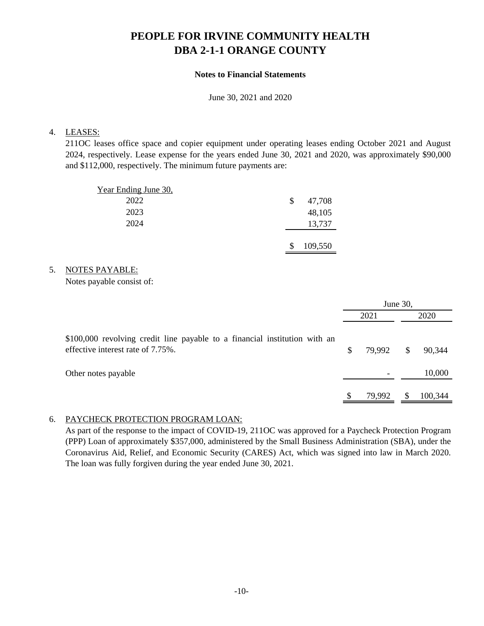## **Notes to Financial Statements**

June 30, 2021 and 2020

## 4. LEASES:

211OC leases office space and copier equipment under operating leases ending October 2021 and August 2024, respectively. Lease expense for the years ended June 30, 2021 and 2020, was approximately \$90,000 and \$112,000, respectively. The minimum future payments are:

| Year Ending June 30, |   |         |
|----------------------|---|---------|
| 2022                 | S | 47,708  |
| 2023                 |   | 48,105  |
| 2024                 |   | 13,737  |
|                      |   |         |
|                      | S | 109,550 |

### 5. NOTES PAYABLE:

Notes payable consist of:

|                                                                                                                 | June 30, |        |              |         |  |  |
|-----------------------------------------------------------------------------------------------------------------|----------|--------|--------------|---------|--|--|
|                                                                                                                 |          | 2021   |              | 2020    |  |  |
| \$100,000 revolving credit line payable to a financial institution with an<br>effective interest rate of 7.75%. |          | 79,992 | $\mathbb{S}$ | 90,344  |  |  |
| Other notes payable                                                                                             |          |        |              | 10,000  |  |  |
|                                                                                                                 |          | 79.992 | S            | 100,344 |  |  |

## 6. PAYCHECK PROTECTION PROGRAM LOAN:

As part of the response to the impact of COVID-19, 211OC was approved for a Paycheck Protection Program (PPP) Loan of approximately \$357,000, administered by the Small Business Administration (SBA), under the Coronavirus Aid, Relief, and Economic Security (CARES) Act, which was signed into law in March 2020. The loan was fully forgiven during the year ended June 30, 2021.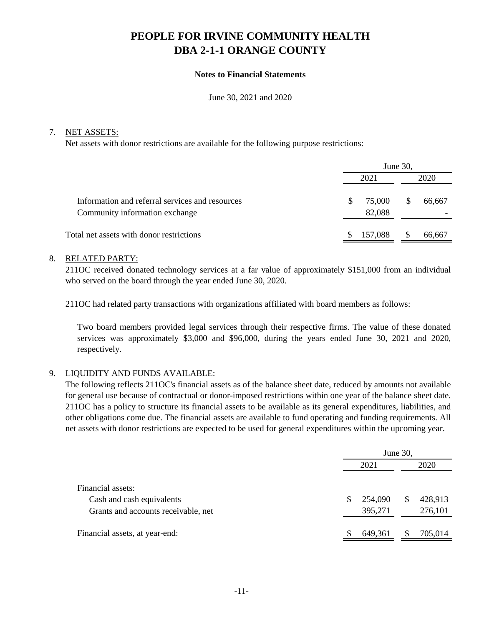#### **Notes to Financial Statements**

June 30, 2021 and 2020

#### 7. NET ASSETS:

Net assets with donor restrictions are available for the following purpose restrictions:

| June 30,              |         |  |  |  |  |  |
|-----------------------|---------|--|--|--|--|--|
|                       | 2020    |  |  |  |  |  |
| 75,000<br>S<br>82,088 | 66,667  |  |  |  |  |  |
| \$                    | 66,667  |  |  |  |  |  |
|                       | 157,088 |  |  |  |  |  |

#### 8. RELATED PARTY:

211OC received donated technology services at a far value of approximately \$151,000 from an individual who served on the board through the year ended June 30, 2020.

211OC had related party transactions with organizations affiliated with board members as follows:

Two board members provided legal services through their respective firms. The value of these donated services was approximately \$3,000 and \$96,000, during the years ended June 30, 2021 and 2020, respectively.

### 9. LIQUIDITY AND FUNDS AVAILABLE:

The following reflects 211OC's financial assets as of the balance sheet date, reduced by amounts not available for general use because of contractual or donor-imposed restrictions within one year of the balance sheet date. 211OC has a policy to structure its financial assets to be available as its general expenditures, liabilities, and other obligations come due. The financial assets are available to fund operating and funding requirements. All net assets with donor restrictions are expected to be used for general expenditures within the upcoming year.

|                                                                                       |   | June 30,           |   |                    |  |  |  |  |
|---------------------------------------------------------------------------------------|---|--------------------|---|--------------------|--|--|--|--|
|                                                                                       |   | 2020               |   |                    |  |  |  |  |
| Financial assets:<br>Cash and cash equivalents<br>Grants and accounts receivable, net | S | 254,090<br>395,271 | S | 428,913<br>276,101 |  |  |  |  |
| Financial assets, at year-end:                                                        |   | 649,361            |   | 705,014            |  |  |  |  |